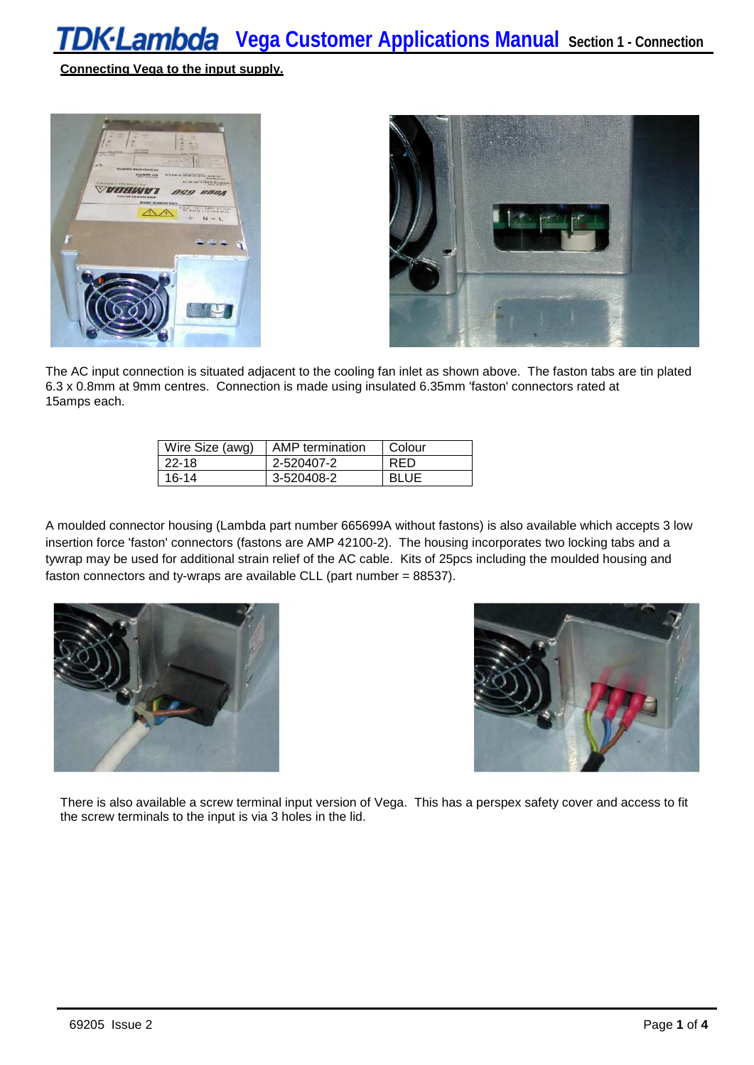**Connecting Vega to the input supply.**





The AC input connection is situated adjacent to the cooling fan inlet as shown above. The faston tabs are tin plated 6.3 x 0.8mm at 9mm centres. Connection is made using insulated 6.35mm 'faston' connectors rated at 15amps each.

| Wire Size (awg) | AMP termination | Colour      |
|-----------------|-----------------|-------------|
| 22-18           | 2-520407-2      | RFD         |
| 16-14           | 3-520408-2      | <b>BLUE</b> |

A moulded connector housing (Lambda part number 665699A without fastons) is also available which accepts 3 low insertion force 'faston' connectors (fastons are AMP 42100-2). The housing incorporates two locking tabs and a tywrap may be used for additional strain relief of the AC cable. Kits of 25pcs including the moulded housing and faston connectors and ty-wraps are available CLL (part number = 88537).





There is also available a screw terminal input version of Vega. This has a perspex safety cover and access to fit the screw terminals to the input is via 3 holes in the lid.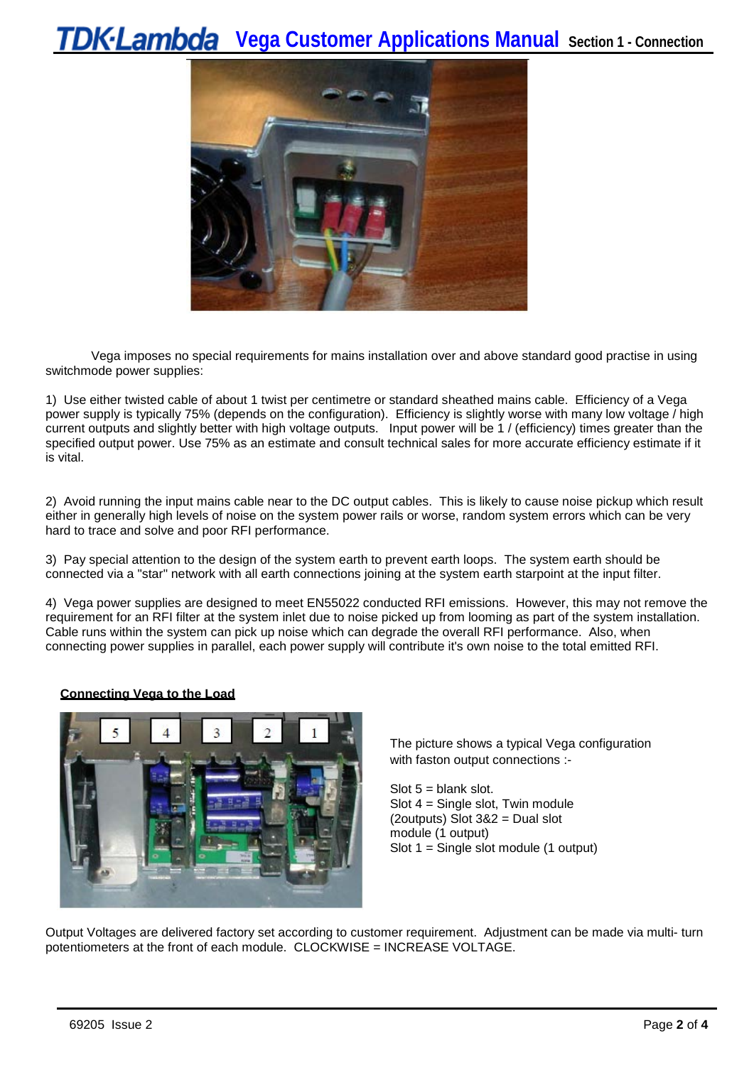# **Vega Customer Applications Manual Section 1 - Connection**



Vega imposes no special requirements for mains installation over and above standard good practise in using switchmode power supplies:

1) Use either twisted cable of about 1 twist per centimetre or standard sheathed mains cable. Efficiency of a Vega power supply is typically 75% (depends on the configuration). Efficiency is slightly worse with many low voltage / high current outputs and slightly better with high voltage outputs. Input power will be 1 / (efficiency) times greater than the specified output power. Use 75% as an estimate and consult technical sales for more accurate efficiency estimate if it is vital.

2) Avoid running the input mains cable near to the DC output cables. This is likely to cause noise pickup which result either in generally high levels of noise on the system power rails or worse, random system errors which can be very hard to trace and solve and poor RFI performance.

3) Pay special attention to the design of the system earth to prevent earth loops. The system earth should be connected via a "star" network with all earth connections joining at the system earth starpoint at the input filter.

4) Vega power supplies are designed to meet EN55022 conducted RFI emissions. However, this may not remove the requirement for an RFI filter at the system inlet due to noise picked up from looming as part of the system installation. Cable runs within the system can pick up noise which can degrade the overall RFI performance. Also, when connecting power supplies in parallel, each power supply will contribute it's own noise to the total emitted RFI.

#### **Connecting Vega to the Load**



The picture shows a typical Vega configuration with faston output connections :-

Slot  $5 =$  blank slot. Slot 4 = Single slot, Twin module (2outputs) Slot 3&2 = Dual slot module (1 output) Slot 1 = Single slot module (1 output)

Output Voltages are delivered factory set according to customer requirement. Adjustment can be made via multi- turn potentiometers at the front of each module. CLOCKWISE = INCREASE VOLTAGE.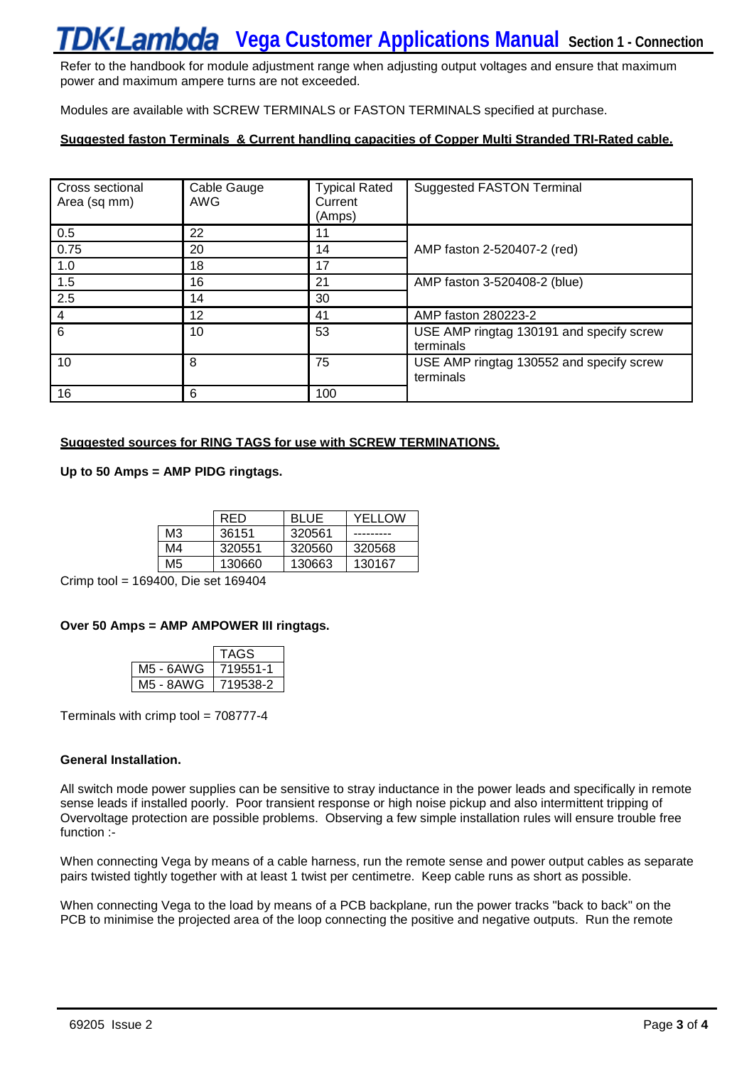# **Vega Customer Applications Manual Section 1 - Connection**

Refer to the handbook for module adjustment range when adjusting output voltages and ensure that maximum power and maximum ampere turns are not exceeded.

Modules are available with SCREW TERMINALS or FASTON TERMINALS specified at purchase.

# **Suggested faston Terminals & Current handling capacities of Copper Multi Stranded TRI-Rated cable.**

| Cross sectional<br>Area (sq mm) | Cable Gauge<br>AWG | <b>Typical Rated</b><br>Current<br>(Amps) | <b>Suggested FASTON Terminal</b>                      |  |
|---------------------------------|--------------------|-------------------------------------------|-------------------------------------------------------|--|
| 0.5                             | 22                 | 11                                        |                                                       |  |
| 0.75                            | 20                 | 14                                        | AMP faston 2-520407-2 (red)                           |  |
| 1.0                             | 18                 | 17                                        |                                                       |  |
| 1.5                             | 16                 | 21                                        | AMP faston 3-520408-2 (blue)                          |  |
| 2.5                             | 14                 | 30                                        |                                                       |  |
| 4                               | 12                 | 41                                        | AMP faston 280223-2                                   |  |
| 6                               | 10                 | 53                                        | USE AMP ringtag 130191 and specify screw<br>terminals |  |
| 10                              | 8                  | 75                                        | USE AMP ringtag 130552 and specify screw<br>terminals |  |
| 16                              | 6                  | 100                                       |                                                       |  |

#### **Suggested sources for RING TAGS for use with SCREW TERMINATIONS.**

**Up to 50 Amps = AMP PIDG ringtags.**

|    | RFD    | <b>BLUE</b> | YFI I OW |
|----|--------|-------------|----------|
| MЗ | 36151  | 320561      |          |
| M4 | 320551 | 320560      | 320568   |
| M5 | 130660 | 130663      | 130167   |

Crimp tool = 169400, Die set 169404

### **Over 50 Amps = AMP AMPOWER III ringtags.**

|           | TAGS     |
|-----------|----------|
| M5 - 6AWG | 719551-1 |
| M5 - 8AWG | /19538-2 |

Terminals with crimp tool = 708777-4

#### **General Installation.**

All switch mode power supplies can be sensitive to stray inductance in the power leads and specifically in remote sense leads if installed poorly. Poor transient response or high noise pickup and also intermittent tripping of Overvoltage protection are possible problems. Observing a few simple installation rules will ensure trouble free function :-

When connecting Vega by means of a cable harness, run the remote sense and power output cables as separate pairs twisted tightly together with at least 1 twist per centimetre. Keep cable runs as short as possible.

When connecting Vega to the load by means of a PCB backplane, run the power tracks "back to back" on the PCB to minimise the projected area of the loop connecting the positive and negative outputs. Run the remote